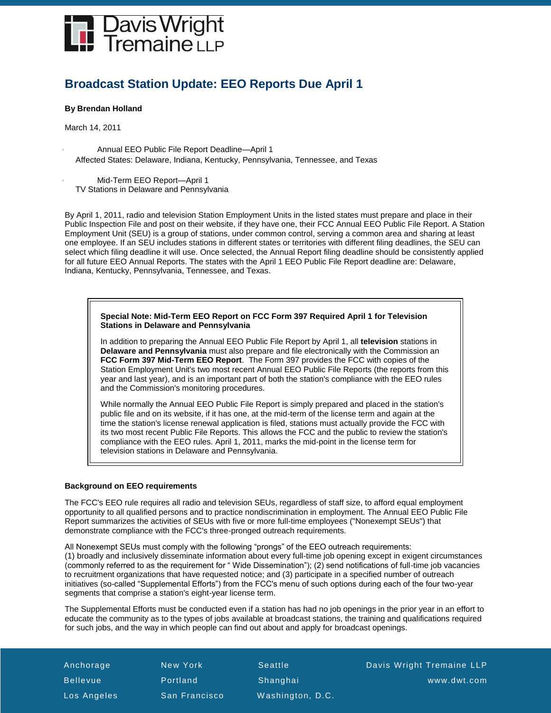

# **Broadcast Station Update: EEO Reports Due April 1**

# **By Brendan Holland**

March 14, 2011

- Annual EEO Public File Report Deadline—April 1 Affected States: Delaware, Indiana, Kentucky, Pennsylvania, Tennessee, and Texas
- Mid-Term EEO Report—April 1 TV Stations in Delaware and Pennsylvania

By April 1, 2011, radio and television Station Employment Units in the listed states must prepare and place in their Public Inspection File and post on their website, if they have one, their FCC Annual EEO Public File Report. A Station Employment Unit (SEU) is a group of stations, under common control, serving a common area and sharing at least one employee. If an SEU includes stations in different states or territories with different filing deadlines, the SEU can select which filing deadline it will use. Once selected, the Annual Report filing deadline should be consistently applied for all future EEO Annual Reports. The states with the April 1 EEO Public File Report deadline are: Delaware, Indiana, Kentucky, Pennsylvania, Tennessee, and Texas.

# **Special Note: Mid-Term EEO Report on FCC Form 397 Required April 1 for Television Stations in Delaware and Pennsylvania**

In addition to preparing the Annual EEO Public File Report by April 1, all **television** stations in **Delaware and Pennsylvania** must also prepare and file electronically with the Commission an **FCC Form 397 Mid-Term EEO Report**. The Form 397 provides the FCC with copies of the Station Employment Unit's two most recent Annual EEO Public File Reports (the reports from this year and last year), and is an important part of both the station's compliance with the EEO rules and the Commission's monitoring procedures.

While normally the Annual EEO Public File Report is simply prepared and placed in the station's public file and on its website, if it has one, at the mid-term of the license term and again at the time the station's license renewal application is filed, stations must actually provide the FCC with its two most recent Public File Reports. This allows the FCC and the public to review the station's compliance with the EEO rules. April 1, 2011, marks the mid-point in the license term for television stations in Delaware and Pennsylvania.

# **Background on EEO requirements**

The FCC's EEO rule requires all radio and television SEUs, regardless of staff size, to afford equal employment opportunity to all qualified persons and to practice nondiscrimination in employment. The Annual EEO Public File Report summarizes the activities of SEUs with five or more full-time employees ("Nonexempt SEUs") that demonstrate compliance with the FCC's three-pronged outreach requirements.

All Nonexempt SEUs must comply with the following "prongs" of the EEO outreach requirements: (1) broadly and inclusively disseminate information about every full-time job opening except in exigent circumstances (commonly referred to as the requirement for " Wide Dissemination"); (2) send notifications of full-time job vacancies to recruitment organizations that have requested notice; and (3) participate in a specified number of outreach initiatives (so-called "Supplemental Efforts") from the FCC's menu of such options during each of the four two-year segments that comprise a station's eight-year license term.

The Supplemental Efforts must be conducted even if a station has had no job openings in the prior year in an effort to educate the community as to the types of jobs available at broadcast stations, the training and qualifications required for such jobs, and the way in which people can find out about and apply for broadcast openings.

Los Angeles San Francisco Washington, D.C.

Anchorage New York Seattle Davis Wright Tremaine LLP Bellevue Portland Shanghai www.dwt.com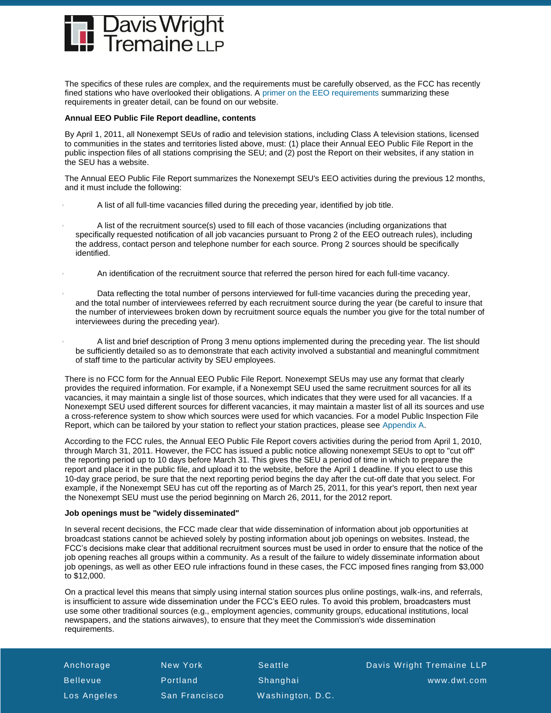

The specifics of these rules are complex, and the requirements must be carefully observed, as the FCC has recently fined stations who have overlooked their obligations. [A primer on the EEO requirements](http://www.dwt.com/LearningCenter/Advisories?find=25806) summarizing these requirements in greater detail, can be found on our website.

## **Annual EEO Public File Report deadline, contents**

By April 1, 2011, all Nonexempt SEUs of radio and television stations, including Class A television stations, licensed to communities in the states and territories listed above, must: (1) place their Annual EEO Public File Report in the public inspection files of all stations comprising the SEU; and (2) post the Report on their websites, if any station in the SEU has a website.

The Annual EEO Public File Report summarizes the Nonexempt SEU's EEO activities during the previous 12 months, and it must include the following:

- A list of all full-time vacancies filled during the preceding year, identified by job title.
- A list of the recruitment source(s) used to fill each of those vacancies (including organizations that specifically requested notification of all job vacancies pursuant to Prong 2 of the EEO outreach rules), including the address, contact person and telephone number for each source. Prong 2 sources should be specifically identified.
- An identification of the recruitment source that referred the person hired for each full-time vacancy.
- Data reflecting the total number of persons interviewed for full-time vacancies during the preceding year, and the total number of interviewees referred by each recruitment source during the year (be careful to insure that the number of interviewees broken down by recruitment source equals the number you give for the total number of interviewees during the preceding year).
- A list and brief description of Prong 3 menu options implemented during the preceding year. The list should be sufficiently detailed so as to demonstrate that each activity involved a substantial and meaningful commitment of staff time to the particular activity by SEU employees.

There is no FCC form for the Annual EEO Public File Report. Nonexempt SEUs may use any format that clearly provides the required information. For example, if a Nonexempt SEU used the same recruitment sources for all its vacancies, it may maintain a single list of those sources, which indicates that they were used for all vacancies. If a Nonexempt SEU used different sources for different vacancies, it may maintain a master list of all its sources and use a cross-reference system to show which sources were used for which vacancies. For a model Public Inspection File Report, which can be tailored by your station to reflect your station practices, please see [Appendix A.](http://dwtop.contentpilot.net/site/userportal/portalresource/03-10_AppendixA)

According to the FCC rules, the Annual EEO Public File Report covers activities during the period from April 1, 2010, through March 31, 2011. However, the FCC has issued a public notice allowing nonexempt SEUs to opt to "cut off" the reporting period up to 10 days before March 31. This gives the SEU a period of time in which to prepare the report and place it in the public file, and upload it to the website, before the April 1 deadline. If you elect to use this 10-day grace period, be sure that the next reporting period begins the day after the cut-off date that you select. For example, if the Nonexempt SEU has cut off the reporting as of March 25, 2011, for this year's report, then next year the Nonexempt SEU must use the period beginning on March 26, 2011, for the 2012 report.

## **Job openings must be "widely disseminated"**

In several recent decisions, the FCC made clear that wide dissemination of information about job opportunities at broadcast stations cannot be achieved solely by posting information about job openings on websites. Instead, the FCC's decisions make clear that additional recruitment sources must be used in order to ensure that the notice of the job opening reaches all groups within a community. As a result of the failure to widely disseminate information about job openings, as well as other EEO rule infractions found in these cases, the FCC imposed fines ranging from \$3,000 to \$12,000.

On a practical level this means that simply using internal station sources plus online postings, walk-ins, and referrals, is insufficient to assure wide dissemination under the FCC's EEO rules. To avoid this problem, broadcasters must use some other traditional sources (e.g., employment agencies, community groups, educational institutions, local newspapers, and the stations airwaves), to ensure that they meet the Commission's wide dissemination requirements.

| Anchorage       | New York             | <b>Seattle</b>   | Davis Wright Tremaine LLP |
|-----------------|----------------------|------------------|---------------------------|
| <b>Bellevue</b> | Portland             | Shanghai         | www.dwt.com               |
| Los Angeles     | <b>San Francisco</b> | Washington, D.C. |                           |